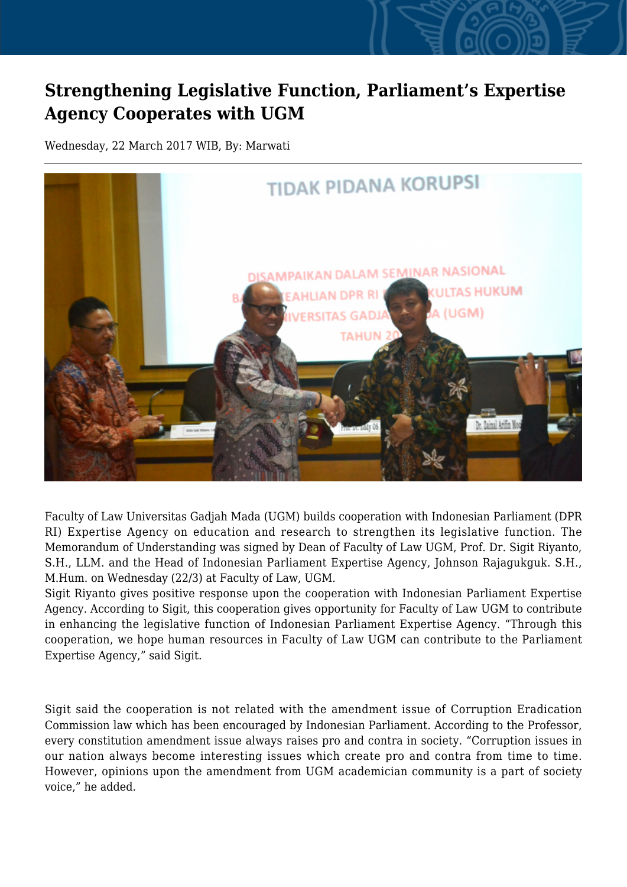## **Strengthening Legislative Function, Parliament's Expertise Agency Cooperates with UGM**

Wednesday, 22 March 2017 WIB, By: Marwati



Faculty of Law Universitas Gadjah Mada (UGM) builds cooperation with Indonesian Parliament (DPR RI) Expertise Agency on education and research to strengthen its legislative function. The Memorandum of Understanding was signed by Dean of Faculty of Law UGM, Prof. Dr. Sigit Riyanto, S.H., LLM. and the Head of Indonesian Parliament Expertise Agency, Johnson Rajagukguk. S.H., M.Hum. on Wednesday (22/3) at Faculty of Law, UGM.

Sigit Riyanto gives positive response upon the cooperation with Indonesian Parliament Expertise Agency. According to Sigit, this cooperation gives opportunity for Faculty of Law UGM to contribute in enhancing the legislative function of Indonesian Parliament Expertise Agency. "Through this cooperation, we hope human resources in Faculty of Law UGM can contribute to the Parliament Expertise Agency," said Sigit.

Sigit said the cooperation is not related with the amendment issue of Corruption Eradication Commission law which has been encouraged by Indonesian Parliament. According to the Professor, every constitution amendment issue always raises pro and contra in society. "Corruption issues in our nation always become interesting issues which create pro and contra from time to time. However, opinions upon the amendment from UGM academician community is a part of society voice," he added.